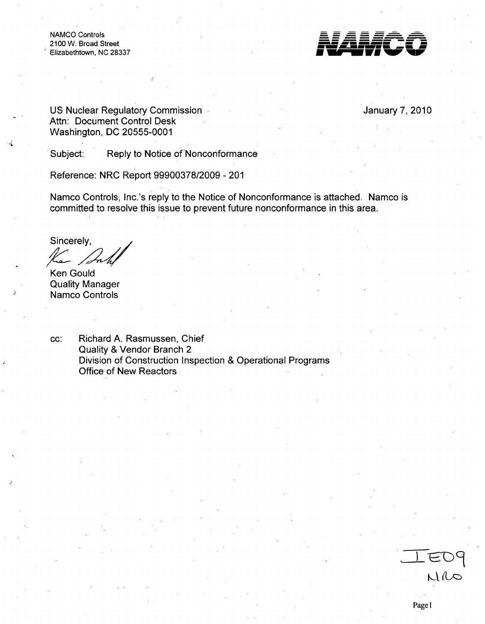NAMCO Controls 2100 W. Broad Street Elizabethtown, NC 28337



January 7, 2010

US Nuclear Regulatory Commission Attn: Document Control Desk Washington, DC 20555-0001

Subject: Reply to Notice of Nonconformance

Reference: NRC Report 99900378/2009 - 201

Namco Controls, Inc.'s reply to the Notice of Nonconformance is attached. Namco is committed to resolve this issue to prevent future nonconformance in this area.

Sincerely,

Ken Gould Quality Manager Namco Controls

cc: Richard A. Rasmussen, Chief Quality & Vendor Branch 2 Division of Construction Inspection & Operational Programs Office of New Reactors

 $MMO$